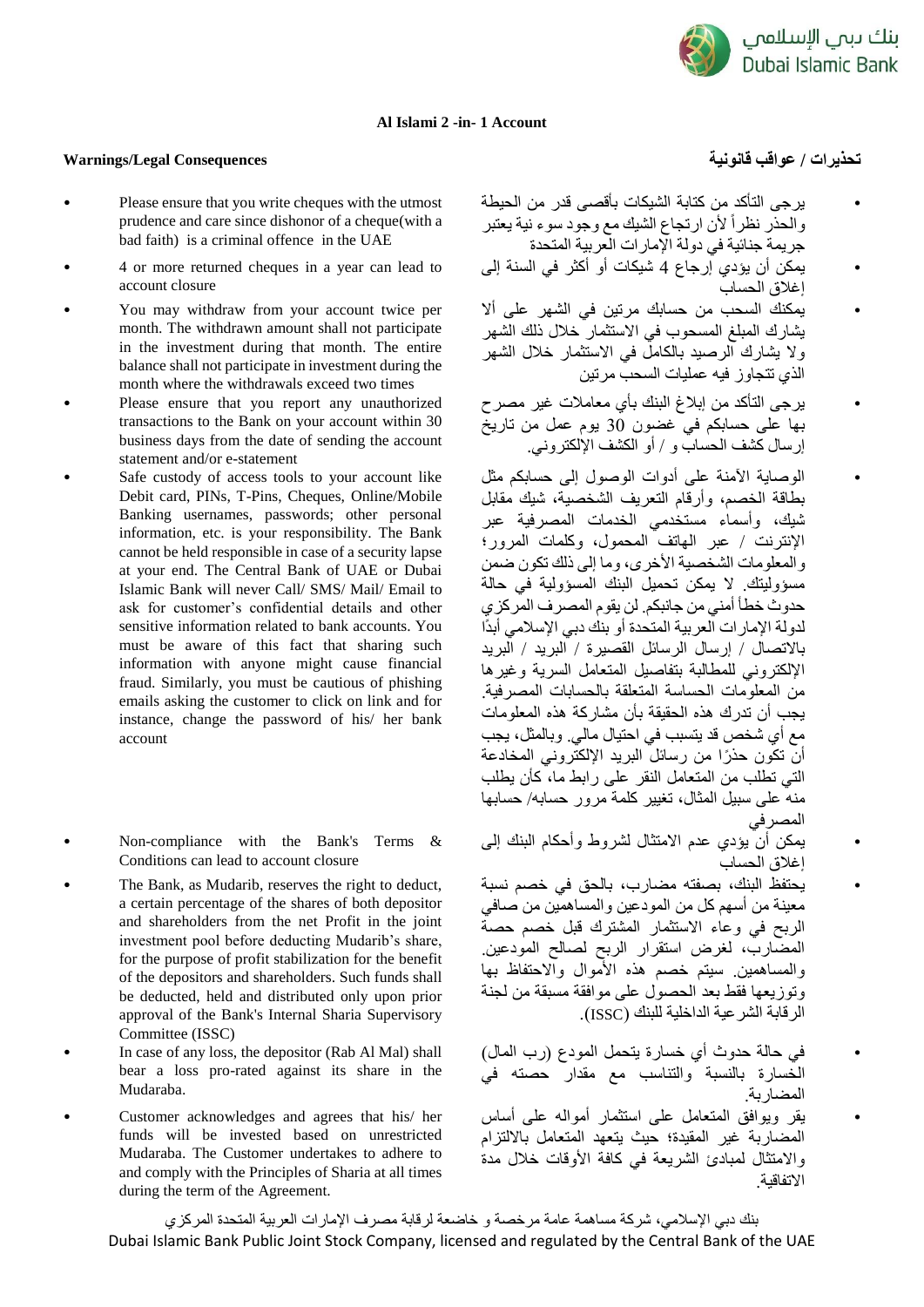

## **Al Islami 2 -in- 1 Account**

## **تحذيرات / عواقب قانونية Consequences Legal/Warnings**

- Please ensure that you write cheques with the utmost prudence and care since dishonor of a cheque(with a bad faith) is a criminal offence in the UAE
- 4 or more returned cheques in a year can lead to account closure
- You may withdraw from your account twice per month. The withdrawn amount shall not participate in the investment during that month. The entire balance shall not participate in investment during the month where the withdrawals exceed two times
- Please ensure that you report any unauthorized transactions to the Bank on your account within 30 business days from the date of sending the account statement and/or e-statement
- Safe custody of access tools to your account like Debit card, PINs, T-Pins, Cheques, Online/Mobile Banking usernames, passwords; other personal information, etc. is your responsibility. The Bank cannot be held responsible in case of a security lapse at your end. The Central Bank of UAE or Dubai Islamic Bank will never Call/ SMS/ Mail/ Email to ask for customer's confidential details and other sensitive information related to bank accounts. You must be aware of this fact that sharing such information with anyone might cause financial fraud. Similarly, you must be cautious of phishing emails asking the customer to click on link and for instance, change the password of his/ her bank account
- Non-compliance with the Bank's Terms & Conditions can lead to account closure
- The Bank, as Mudarib, reserves the right to deduct, a certain percentage of the shares of both depositor and shareholders from the net Profit in the joint investment pool before deducting Mudarib's share, for the purpose of profit stabilization for the benefit of the depositors and shareholders. Such funds shall be deducted, held and distributed only upon prior approval of the Bank's Internal Sharia Supervisory Committee (ISSC)
- In case of any loss, the depositor (Rab Al Mal) shall bear a loss pro-rated against its share in the Mudaraba.
- Customer acknowledges and agrees that his/ her funds will be invested based on unrestricted Mudaraba. The Customer undertakes to adhere to and comply with the Principles of Sharia at all times during the term of the Agreement.

- يرجى التأكد من كتابة الشيكات بأقصى قدر من الحيطة والحذر نظرا ألن ارتجاع الشيك مع وجود سوء نية يعتبر جريمة جنائية في دولة اإلمارات العربية المتحدة
- يمكن أن يؤدي إرجاع 4 شيكات أو أكثر في السنة إلى إغالق الحساب
- يمكنك السحب من حسابك مرتين في الشهر على أال يشارك المبلغ المسحوب في االستثمار خالل ذلك الشهر وال يشارك الرصيد بالكامل في االستثمار خالل الشهر الذي تتجاوز فيه عمليات السحب مرتين
- يرجى التأكد من إبالغ البنك بأي معامالت غير مصرح بها على حسابكم في غضون 30 يوم عمل من تاريخ إرسال كشف الحساب و / أو الكشف اإللكتروني.
- الوصاية اآلمنة على أدوات الوصول إلى حسابكم مثل بطاقة الخصم، وأرقام التعريف الشخصية، شيك مقابل شيك، وأسماء مستخدمي الخدمات المصرفية عبر اإلنترنت / عبر الهاتف المحمول، وكلمات المرور؛ و المعلومات الشخصية الأخرى، وما إلى ذلك تكون ضمن مسؤوليتك. ال يمكن تحميل البنك المسؤولية في حالة حدوث خطأ أمني من جانبكم. لن يقوم المصرف المركزي لدولة الإمارات العربية المتحدة أو بنك دبي الإسلامي أبدًا باالتصال / إرسال الرسائل القصيرة / البريد / البريد اإللكتروني للمطالبة بتفاصيل المتعامل السرية وغيرها من المعلومات الحساسة المتعلقة بالحسابات المصرفية. يجب أن تدرك هذه الحقيقة بأن مشاركة هذه المعلومات مع أي شخص قد يتسبب في احتيال مالي. وبالمثل، يجب أن تكون حذ را من رسائل البريد اإللكتروني المخادعة التي تطلب من المتعامل النقر على رابط ما، كأن يطلب منه على سبيل المثال، تغيير كلمة مرور حسابه/ حسابها المصرفي
- يمكن أن يؤدي عدم االمتثال لشروط وأحكام البنك إلى إغالق الحساب
- .<br>يُحتفظ البنك، بصفته مضارب، بالحق في خصم نسبة معينة من أسهم كل من المودعين والمساهمين من صافي الربح في وعاء االستثمار المشترك قبل خصم حصة المضارب، لغرض استقرار الربح لصالح المودعين. والمساهمين. سيتم خصم هذه األموال واالحتفاظ بها وتوزيعها فقط بعد الحصول على موافقة مسبقة من لجنة الرقابة الشرعية الداخلية للبنك )ISSC).
- في حالة حدوث أي خسارة يتحمل المودع )رب المال( الخسارة بالنسبة والتناسب مع مقدار حصته في المضاربة.
- يقر ويوافق المتعامل على استثمار أمواله على أساس المضاربة غير المقيدة؛ حيث يتعهد المتعامل بااللتزام واالمتثال لمبادئ الشريعة في كافة األوقات خالل مدة االتفاقية.

بنك دبي اإلسالمي، شركة مساهمة عامة مرخصة و خاضعة لرقابة مصرف اإلمارات العربية المتحدة المركزي Dubai Islamic Bank Public Joint Stock Company, licensed and regulated by the Central Bank of the UAE